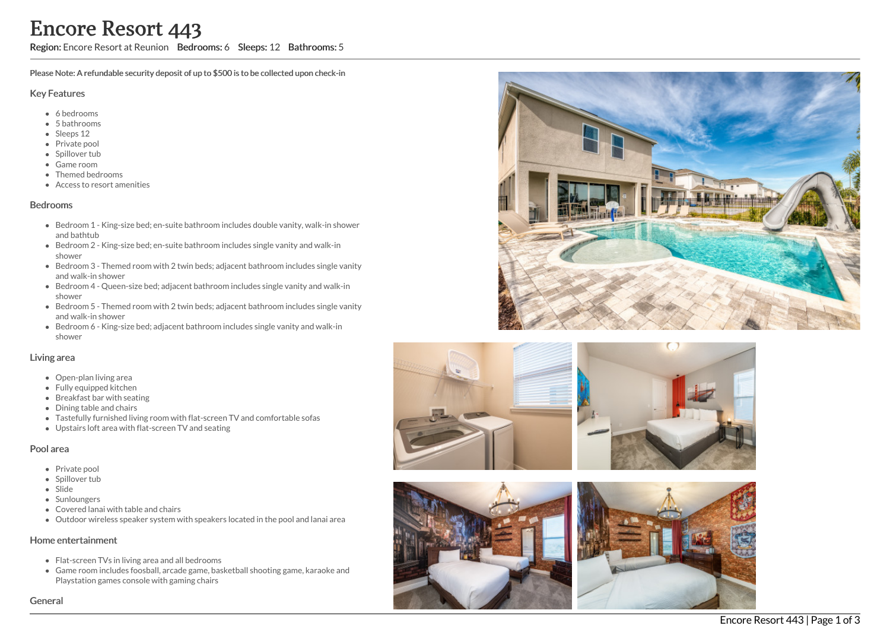Region: Encore Resort at Reunion Bedrooms: 6 Sleeps: 12 Bathrooms: 5

Please Note: A refundable security deposit of up to \$500 is to be collected upon check-in

#### Key Features

- 6 b e d r o o m s
- 5 bathrooms
- Sleeps 12
- Private pool
- Spillover tub
- Game room
- Themed bedr o o m s
- Access to resort amenities

### **Bedrooms**

- Bedroom 1 King-size bed; en-suite bathroom includes double vanity, walk-in shower and bathtub
- Bedroom 2 King-size bed; en-suite bathroom includes single vanity and walk-in s h o w e r
- Bedroom 3 Themed room with 2 twin beds; adjacent bathroom includes single vanity a n d w alk -in s h o w e r
- Bedroom 4 Queen-size bed; adjacent bathroom includes single vanity and walk-in s h o w e r
- Bedroom 5 Themed room with 2 twin beds; adjacent bathroom includes single vanity a n d w alk -in s h o w e r
- Bedroom 6 King-size bed; adjacent bathroom includes single vanity and walk-in s h o w e r

### Living area

- Open-plan living area
- Fully equipped kitchen
- Breakfast bar with seating
- Dining table and chairs
- Tastefully furnished living room with flat-screen TV and comfortable sofas
- Upstairs loft area with flat-screen TV and seating

### Pool area

- Private pool
- Spillover tub
- Slide
- Sunloungers
- Covered lanai with table and chairs
- Outdoor wireless speaker system with speakers located in the pool and lanai area

### Home entertainment

- Flat-screen TVs in living area and all bedrooms
- Game room includes foosball, arcade game, basketball shooting game, karaoke and Playstation games console with gaming chairs









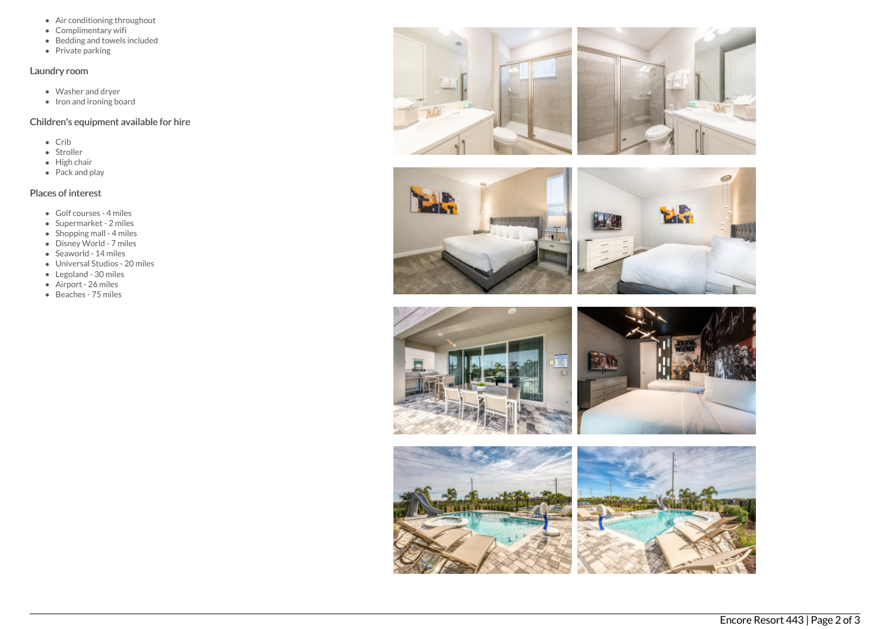- Air conditioning throughout
- Complimentary wifi
- $\bullet$  Bedding and towels included
- Private parking

### Laundry room

- Washer and dryer
- $\bullet$  Iron and ironing board

# Children's equipment available for hire

- Crib
- Stroller
- $\bullet$  High chair
- Pack and play

# Places of interest

- Golf courses 4 miles
- Supermarket 2 miles
- Shopping mall 4 miles
- Disney World 7 miles
- Seaworld 14 miles
- Universal Studios 20 miles
- Legoland 30 miles
- Airport 26 miles
- Beaches 75 miles